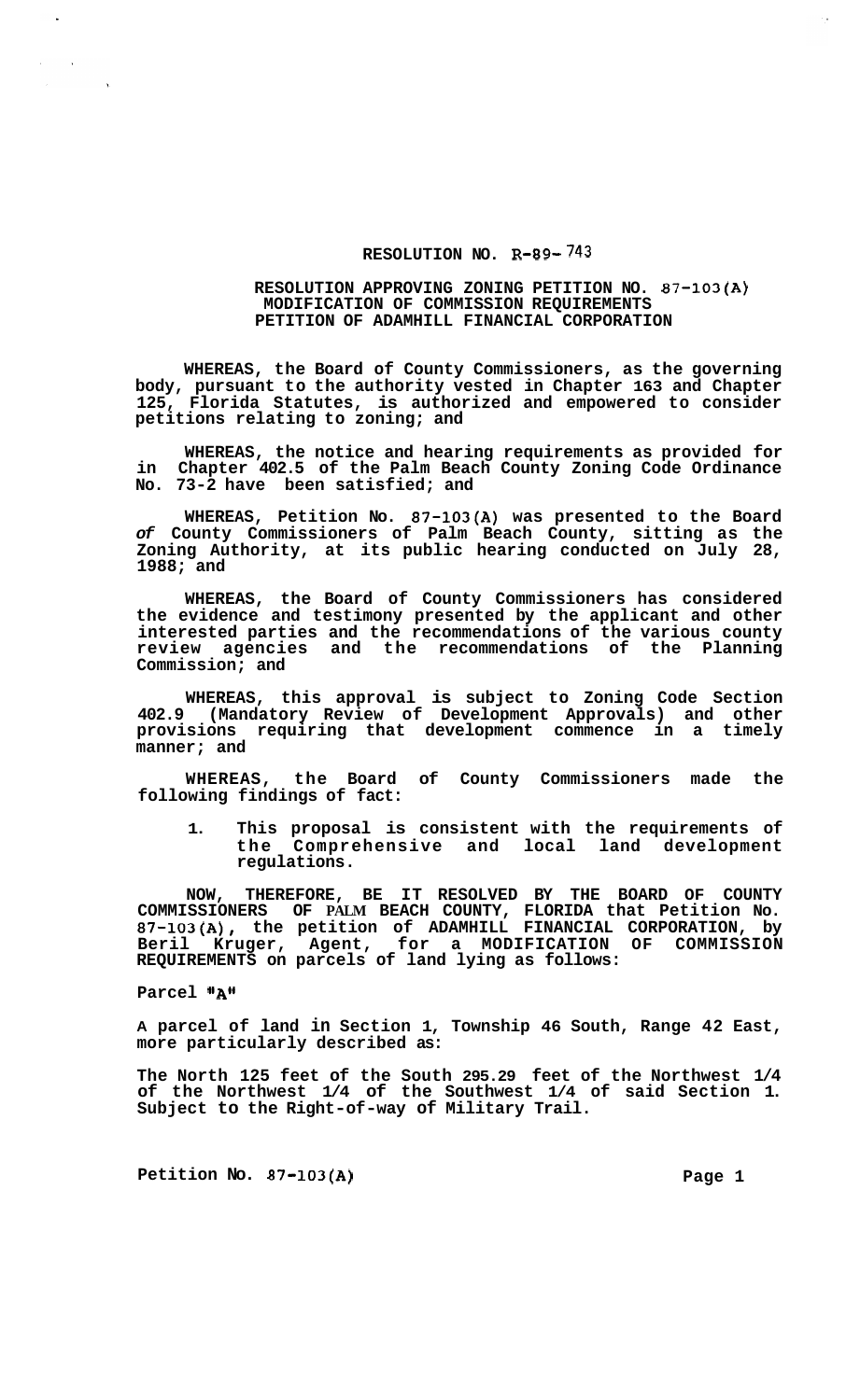## **RESOLUTION NO. R-89- 743**

## **RESOLUTION APPROVING ZONING PETITION NO. 87-103(A) PETITION OF ADAMHILL FINANCIAL CORPORATION MODIFICATION OF COMMISSION REQUIREMENTS**

**WHEREAS, the Board of County Commissioners, as the governing body, pursuant to the authority vested in Chapter 163 and Chapter 125, Florida Statutes, is authorized and empowered to consider petitions relating to zoning; and** 

**WHEREAS, the notice and hearing requirements as provided for in Chapter 402.5 of the Palm Beach County Zoning Code Ordinance No. 73-2 have been satisfied; and** 

**WHEREAS, Petition No. 87-103(A) was presented to the Board**  *of* **County Commissioners of Palm Beach County, sitting as the Zoning Authority, at its public hearing conducted on July 28, 1988; and** 

**WHEREAS, the Board of County Commissioners has considered the evidence and testimony presented by the applicant and other interested parties and the recommendations of the various county review agencies and the recommendations of the Planning Commission; and** 

**WHEREAS, this approval is subject to Zoning Code Section 402.9 (Mandatory Review of Development Approvals) and other provisions requiring that development commence in a timely manner; and** 

**WHEREAS, the Board of County Commissioners made the following findings of fact:** 

**1. This proposal is consistent with the requirements of the Comprehensive and local land development regulations.** 

**NOW, THEREFORE, BE IT RESOLVED BY THE BOARD OF COUNTY COMMISSIONERS OF PALM BEACH COUNTY, FLORIDA that Petition No. 87-103(A), the petition of ADAMHILL FINANCIAL CORPORATION, by Beril Kruger, Agent, for a MODIFICATION OF COMMISSION REQUIREMENTS on parcels of land lying as follows:** 

**Parcel "A"** 

**A parcel of land in Section 1, Township 46 South, Range 42 East, more particularly described as:** 

**The North 125 feet of the South 295.29 feet of the Northwest 1/4 of the Northwest 1/4 of the Southwest 1/4 of said Section 1. Subject to the Right-of-way of Military Trail.** 

Petition No. 87-103(A) Page 1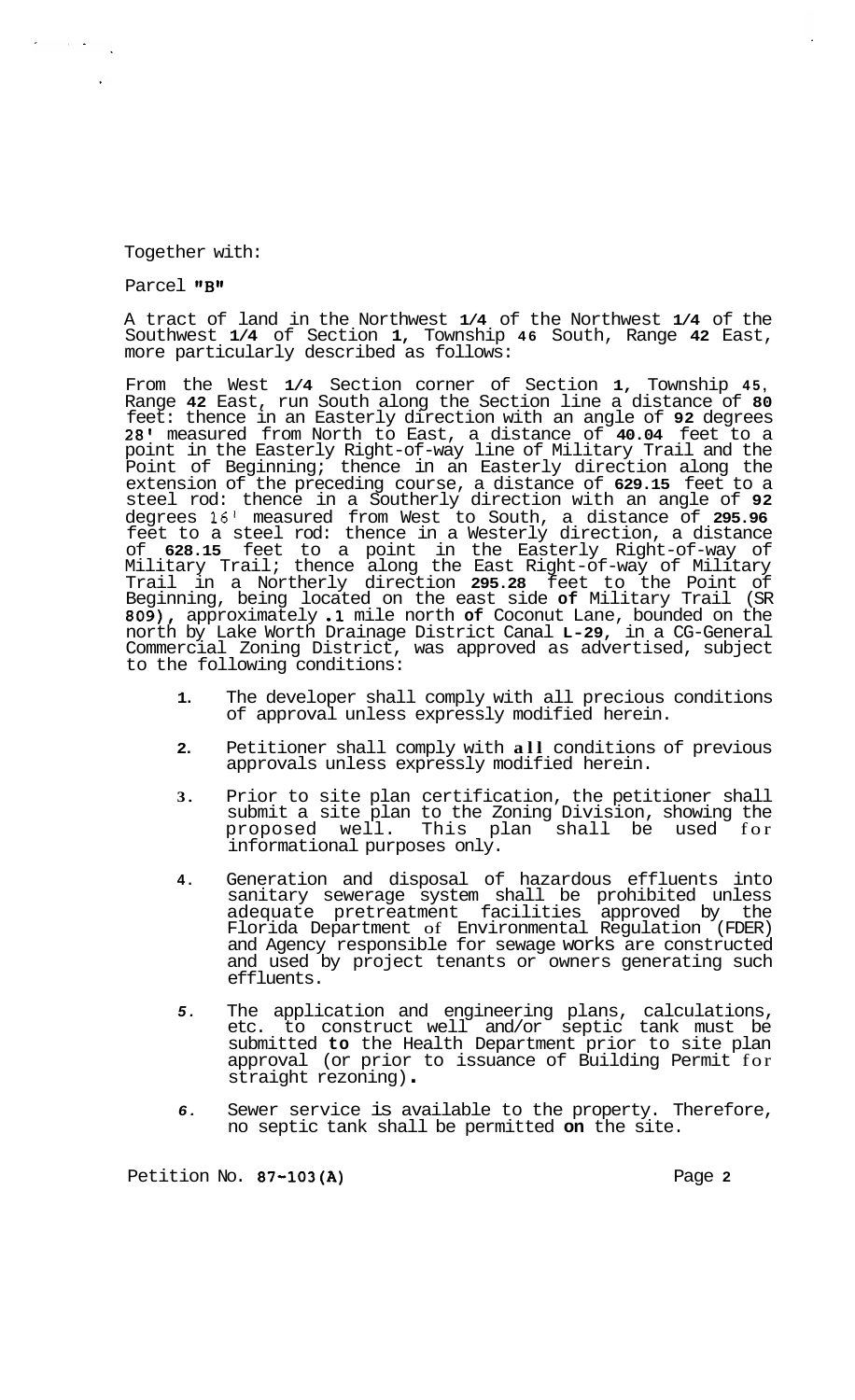## Together with:

## Parcel "B"

 $\mathcal{L}^{\text{max}}_{\text{max}}$  ,  $\mathcal{L}^{\text{max}}_{\text{max}}$ 

A tract of land in the Northwest **1/4** of the Northwest **1/4** of the Southwest **1/4** of Section **1,** Township **46** South, Range **42** East, more particularly described as follows:

From the West **1/4** Section corner of Section **1,** Township **45,**  Range **42** East, run South along the Section line a distance of **80**  feet: thence in an Easterly direction with an angle of **92** degrees **28'** measured from North to East, a distance of **40.04** feet to a point in the Easterly Right-of-way line of Military Trail and the Point of Beginning; thence in an Easterly direction along the extension of the preceding course, a distance of **629.15** feet to a steel rod: thence in a Southerly direction with an angle of **92**  degrees **16'** measured from West to South, a distance of **295.96**  feet to a steel rod: thence in a Westerly direction, a distance of **628.15** feet to a point in the Easterly Right-of-way of Military Trail; thence along the East Right-of-way of Military Trail in a Northerly direction **295.28** feet to the Point of Beginning, being located on the east side **of** Military Trail (SR **809),** approximately **.1** mile north **of** Coconut Lane, bounded on the north by Lake Worth Drainage District Canal **L-29,** in a CG-General Commercial Zoning District, was approved as advertised, subject to the following conditions:

- **1.**  The developer shall comply with all precious conditions of approval unless expressly modified herein.
- **2.**  Petitioner shall comply with **all** conditions of previous approvals unless expressly modified herein.
- **3.**  Prior to site plan certification, the petitioner shall submit a site plan to the Zoning Division, showing the<br>proposed well. This plan shall be used for proposed well. This plan shall be used informational purposes only.
- **4.**  Generation and disposal of hazardous effluents into sanitary sewerage system shall be prohibited unless adequate pretreatment facilities approved by the Florida Department of Environmental Regulation (FDER) and Agency responsible for sewage works are constructed and used by project tenants or owners generating such effluents.
- *5.*  The application and engineering plans, calculations, etc. to construct well and/or septic tank must be submitted **to** the Health Department prior to site plan approval (or prior to issuance of Building Permit for straight rezoning) .
- *6.*  Sewer service is available to the property. Therefore, no septic tank shall be permitted **on** the site.

Petition No. **87-103(A)** Page **2**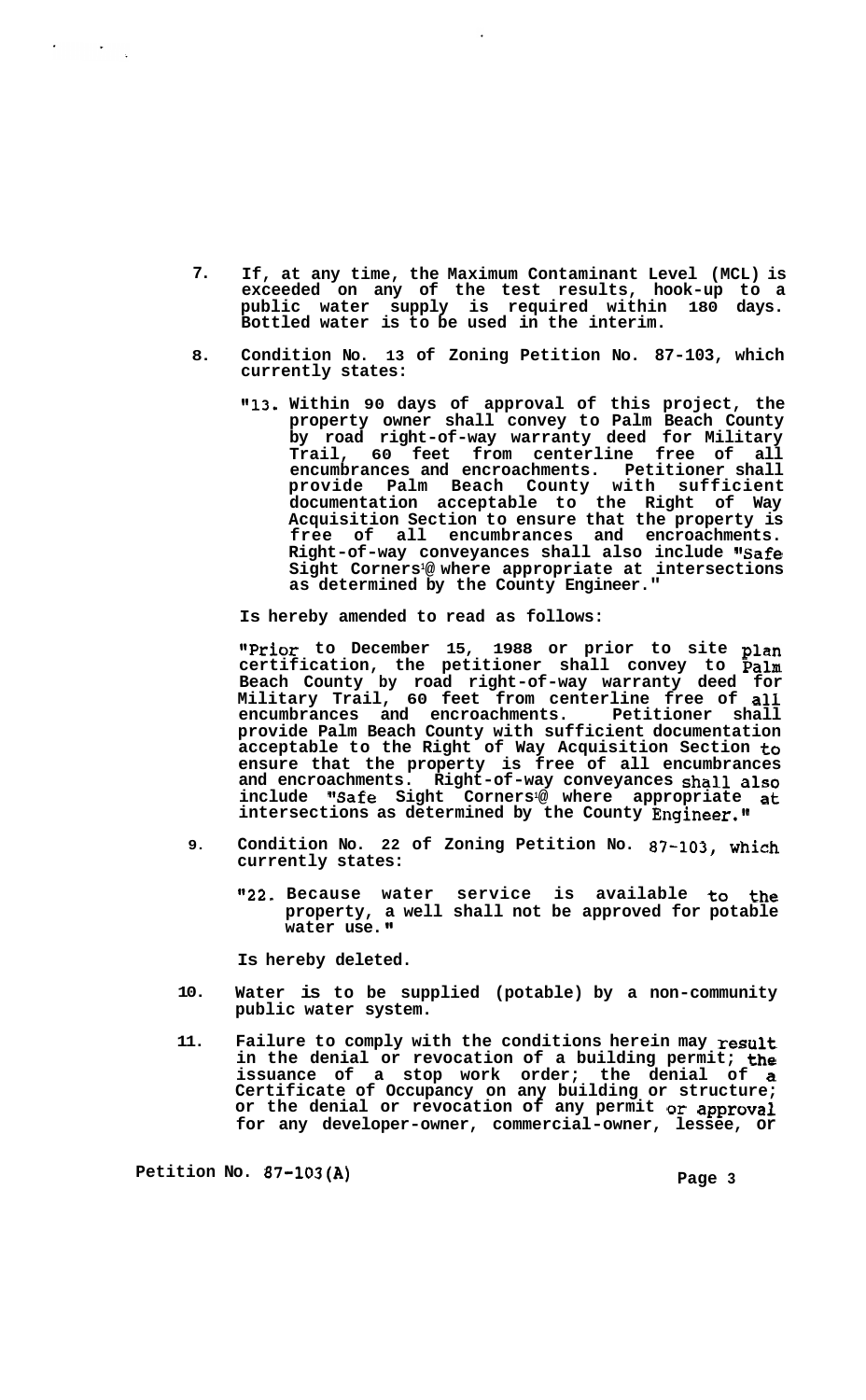- **7. If, at any time, the Maximum Contaminant Level (MCL) is exceeded on any of the test results, hook-up to a public water supply is required within 180 days. Bottled water is to be used in the interim.**
- **8. Condition No. 13 of Zoning Petition No. 87-103, which currently states:** 
	- **@@13. Within 90 days of approval of this project, the property owner shall convey to Palm Beach County by road right-of-way warranty deed for Military Trail, 60 feet from centerline free of all encumbrances and encroachments. Petitioner shall provide Palm Beach County with sufficient documentation acceptable to the Right of Way Acquisition Section to ensure that the property is free of all encumbrances and encroachments.**  Right-of-way conveyances shall also include "Safe **Sight Corners1@ where appropriate at intersections as determined by the County Engineer."**

**Is hereby amended to read as follows:** 

**I1Prior to December 15, 1988 or prior to site plan certification, the petitioner shall convey to palm Beach County by road right-of-way warranty deed for Military Trail, 60 feet from centerline free of all**  encumbrances and encroachments. **provide Palm Beach County with sufficient documentation acceptable to the Right of Way Acquisition Section to ensure that the property is free of all encumbrances and encroachments. Right-of-way conveyances shall also include "Safe Sight Corners1@ where appropriate at intersections as determined by the County Engineer."** 

- **9. Condition No. 22 of Zoning Petition No. 87-103, which currently states:** 
	- **"22. Because water service is available to the property, a well shall not be approved for potable water** use.<sup>"</sup>

**Is hereby deleted.** 

- **10. Water is to be supplied (potable) by a non-community public water system.**
- **11. Failure to comply with the conditions herein may result in the denial or revocation of a building permit; the issuance of a stop work order; the denial of a Certificate of Occupancy on any building or structure; or the denial or revocation of any permit or approval**  for any developer-owner, commercial-owner, lessee, or

**Petition No. 87-103(A)** Page 3

 $\sigma_{\rm{eff}}$  and  $\sigma_{\rm{eff}}$